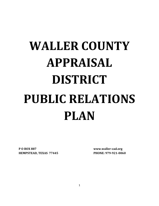# **WALLER COUNTY APPRAISAL DISTRICT PUBLIC RELATIONS PLAN**

**P O BOX 887 www.waller-cad.org HEMPSTEAD, TEXAS 77445 PHONE: 979-921-0060**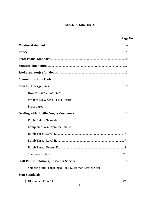### **TABLE OF CONTENTS**

| Page No.                                              |
|-------------------------------------------------------|
|                                                       |
|                                                       |
|                                                       |
|                                                       |
|                                                       |
|                                                       |
|                                                       |
| How to Handle Bad Press                               |
| What to Do When a Crisis Occurs                       |
| Procedures                                            |
|                                                       |
| <b>Public Safety Navigation</b>                       |
|                                                       |
|                                                       |
|                                                       |
|                                                       |
|                                                       |
|                                                       |
| Selecting and Preparing a Good Customer Service Staff |
| <b>Staff Standards</b>                                |
| $\overline{2}$                                        |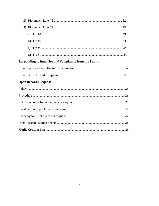| 2)                                                            |
|---------------------------------------------------------------|
| 3)                                                            |
|                                                               |
|                                                               |
|                                                               |
|                                                               |
| <b>Responding to Inquiries and Complaints from the Public</b> |
|                                                               |
|                                                               |
| <b>Open Records Request</b>                                   |
|                                                               |
|                                                               |
|                                                               |
|                                                               |
|                                                               |
|                                                               |
|                                                               |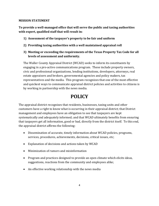### **MISSION STATEMENT**

**To provide a well-managed office that will serve the public and taxing authorities with expert, qualified staff that will result in:**

- **1) Assessment of the taxpayer's property to be fair and uniform**
- **2) Providing taxing authorities with a well maintained appraisal roll**
- **3) Meeting or exceeding the requirements of the Texas Property Tax Code for all levels of assessment and uniformity.**

The Waller County Appraisal District (WCAD) seeks to inform its constituents by engaging in a pro-active communications program. These include property owners, civic and professional organizations, lending institutions, developers, attorneys, real estate appraisers and brokers, governmental agencies and policy makers, tax representatives and the media. This program recognizes that one of the most effective and quickest ways to communicate appraisal district policies and activities to citizens is by working in partnership with the news media.

# **POLICY**

The appraisal district recognizes that residents, businesses, taxing units and other customers have a right to know what is occurring in their appraisal district; that District management and employees have an obligation to see that taxpayers are kept systematically and adequately informed; and that WCAD ultimately benefits from ensuring that taxpayers get all information, good or bad, directly from the district itself. To this end, the appraisal district affirms the following:

- Dissemination of accurate, timely information about WCAD policies, programs, services, procedures, achievements, decisions, critical issues, etc;
- Explanation of decisions and actions taken by WCAD
- Minimization of rumors and misinformation
- Program and practices designed to provide an open climate which elicits ideas, suggestions, reactions from the community and employees alike;
- An effective working relationship with the news media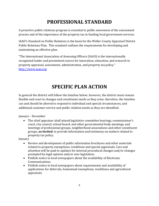# **PROFESSIONAL STANDARD**

A proactive public relations program is essential to public awareness of the assessment process and of the importance of the property tax in funding local government services.

IAAO's Standard on Public Relations is the basis for the Waller County Appraisal District Public Relations Plan. This standard outlines the requirements for developing and maintaining an effective plan.

"The International Association of Assessing Officers (IAAO) is the internationally recognized leader and preeminent source for innovation, education, and research in property appraisal, assessment, administration, and property tax policy." [http://www.iaao.org](http://www.iaao.org/)

### **SPECIFIC PLAN ACTION**

In general the district will follow the timeline below; however, the district must remain flexible and react to changes and constituent needs as they arise; therefore, the timeline can and should be altered to respond to individual and special circumstances, and additional customer service and public relation needs as they are identified.

January – December

• The chief appraiser shall attend legislative committee hearings, commissioner's court, city council, school board, and other governmental body meetings, and meetings of professional groups, neighborhood associations and other constituent groups, **as invited**, to provide information and testimony on matters related to property tax policy.

January

- Review and development of public information brochures and other materials related to property exemptions, renditions and special appraisals. Care and attention will be paid to updates for internal procedural changes and/or changes prompted by legal opinion and/or new legislation.
- Publish notice in local newspapers about the availability of Electronic Communications.
- Publish notice in local newspapers about requirements and availability of applications for deferrals, homestead exemptions, renditions and agricultural appraisals.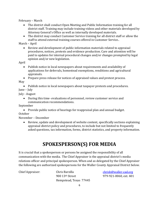February – March

- The district shall conduct Open Meeting and Public Information training for all district staff. Training may include training videos and other materials developed by Attorney General's Office as well as internally developed materials.
- The district may conduct Customer Service training for all district staff or allow the staff to attend external training courses offered in Customer Service..

March – April

• Review and development of public information materials related to appraisal procedures, notices, protests and evidence production. Care and attention will be paid to updates for internal procedural changes and/or changes prompted by legal opinion and/or new legislation.

April

• Publish notice in local newspapers about requirements and availability of applications for deferrals, homestead exemptions, renditions and agricultural appraisals.

• Prepare press release for notices of appraised values and protest process. May

• Publish notice in local newspapers about taxpayer protests and procedures. June – July

July - August

• During this time- evaluations of personnel, review customer service and communication recommendations.

September

• Provide public notice of hearings for reappraisal plan and annual budget. October

November – December

• Review, update and development of website content, specifically sections explaining appraisal district policy and procedures, to include but not limited to frequently asked questions, tax information, forms, district statistics, and property information.

# **SPOKESPERSON(S) FOR MEDIA**

It is crucial that a spokesperson or persons be assigned the responsibility of all communication with the media. The Chief Appraiser is the appraisal district's media relations officer and principal spokesperson. When and as delegated by the Chief Appraiser the following are authorized spokespersons for the Waller County Appraisal District below.

Hempstead, Texas 77445

Chief Appraiser: Chris Barzilla [chrisb@waller-cad.org](mailto:chrisb@waller-cad.org)<br>900 13<sup>th</sup> Street 979-921-0060. ext. 401 979-921-0060, ext. 401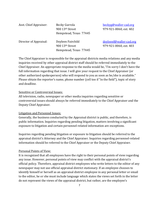| Asst. Chief Appraiser: | Becky Gurrola<br>900 13th Street                               |  |
|------------------------|----------------------------------------------------------------|--|
|                        | Hempstead, Texas 77445                                         |  |
| Director of Appraisal: | Doyleen Fairchild<br>900 13th Street<br>Hempstead, Texas 77445 |  |

[beckyg@waller-cad.org](mailto:beckyg@waller-cad.org) 979-921-0060, ext. 402

[doyleenf@waller-cad.org](mailto:doyleenf@waller-cad.org) 979-921-0060, ext. 403

The Chief Appraiser is responsible for the appraisal districts media relations and any media inquiries received by other appraisal district staff should be referred immediately to the Chief Appraiser. An appropriate response to the media would be, "I'm sorry I don't have the full information regarding that issue. I will give your request to the Chief Appraiser (or other authorized spokesperson) who will respond to you as soon as he/she is available." Please obtain the reporter's name, phone number (cell too if "in the field"), topic of story and deadline.

### Sensitive or Controversial Issues:

All television, radio, newspaper or other media inquiries regarding sensitive or controversial issues should always be referred immediately to the Chief Appraiser and the Deputy Chief Appraiser.

### Litigation and Personnel Issues:

Generally, the business conducted by the Appraisal district is public, and therefore, is public information. Inquiries regarding pending litigation, matters involving a significant exposure to litigation and certain personnel-related information are exceptions.

Inquiries regarding pending litigation or exposure to litigation should be referred to the appraisal district's Attorney and the Chief Appraiser. Inquiries regarding personnel-related information should be referred to the Chief Appraiser or the Deputy Chief Appraiser.

### Personal Points of View:

It is recognized that all employees have the right to their personal points of view regarding any issue. However, personal points of view may conflict with the appraisal district's official policy. Therefore, appraisal district employees who write letters to the editor of any newspaper may not use official appraisal district stationary. If an employee chooses to identify himself or herself as an appraisal district employee in any personal letter or email to the editor, he or she must include language which states the views set forth in the letter do not represent the views of the appraisal district, but rather, are the employee's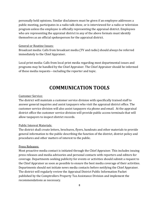personally held opinions. Similar disclaimers must be given if an employee addresses a public meeting, participates in a radio talk show, or is interviewed for a radio or television program unless the employee is officially representing the appraisal district. Employees who are representing the appraisal district in any of the above formats must identify themselves as an official spokesperson for the appraisal district.

### General or Routine Issues:

Broadcast media: Calls from broadcast media (TV and radio) should always be referred immediately to the Chief Appraiser.

Local print media: Calls from local print media regarding most departmental issues and programs may be handled by the Chief Appraiser. The Chief Appraiser should be informed of these media requests---including the reporter and topic.

### **COMMUNICATION TOOLS**

#### Customer Service:

The district will maintain a customer service division with specifically trained staff to answer general inquiries and assist taxpayers who visit the appraisal district office. The customer service division will also assist taxpayers via phone and email. At the appraisal district office the customer service division will provide public access terminals that will allow taxpayers to inspect district records.

#### Public Interest Materials:

The district shall create letters, brochures, flyers, handouts and other materials to provide general information to the public describing the function of the district, district policy and procedures and other matters of interest to the public.

#### Press Releases:

Most proactive media contact is initiated through the Chief Appraiser. This includes issuing press releases and media advisories and personal contacts with reporters and editors for coverage. Departments seeking publicity for events or activities should submit a request to the Chief Appraiser as soon as possible to ensure the best media coverage of their activities. Departments should not initiate news media contacts before notifying the Chief Appraiser. The district will regularly review the Appraisal District Public Information Packet published by the Comptrollers Property Tax Assistance Division and implement the recommendations as necessary.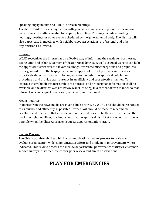### Speaking Engagements and Public Outreach Meetings:

The district will work in conjunction with government agencies to provide information to constituents on matters related to property tax policy. This may include attending hearings, meetings or other events scheduled by the governmental body. The district will also participate in meetings with neighborhood associations, professional and other organizations, as invited.

### Internet:

WCAD recognizes the internet as an effective way of informing the residents, businesses, taxing units and other customers of the appraisal district. A well designed website can help the appraisal district create a favorable image, overcome misconceptions and prejudices, foster goodwill with the taxpayers, promote appraisal district products and services, proactively detect and deal with issues, educate the public on appraisal policies and procedures, and provide transparency in an efficient and cost effective manner. To leverage this valuable resource, relevant appraisal and property tax information shall be available on the districts website (www.waller-cad.org) in a content driven manner so that information can be quickly accessed, retrieved, and reviewed.

### Media Inquiries:

Inquiries from the news media are given a high priority by WCAD and should be responded to as quickly and efficiently as possible. Every effort should be made to meet media deadlines and to ensure that all information released is accurate. Because the media often works on tight deadlines, it is important that the appraisal district staff respond as soon as possible when the Chief Appraiser requests department information.

### Review Process:

The Chief Appraiser shall establish a communications review process to review and evaluate organization wide communication efforts and implement improvements where indicated. This review process can include departmental performance statistics, customer service surveys, customer interviews, peer review and direct observations.

### **PLAN FOR EMERGENCIES**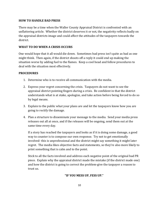### **HOW TO HANDLE BAD PRESS**

There may be a time when the Waller County Appraisal District is confronted with an unflattering article. Whether the district deserves it or not, the negativity reflects badly on the appraisal districts image and could affect the attitudes of the taxpayers towards the district.

### **WHAT TO DO WHEN A CRISIS OCCURS**

One would hope that it all would die down. Sometimes bad press isn't quite as bad as one might think. Then again, if the district shoots off a reply it could end up making the situation worse by adding fuel to the flames. Keep a cool head and follow procedures to deal with the situation most effectively.

### **PROCEDURES**

- 1. Determine who is to receive all communication with the media.
- 2. Express your regret concerning the crisis. Taxpayers do not want to see the appraisal district pointing fingers during a crisis. Be confident in that the district understands what is at stake, apologize, and take action before being forced to do so by legal means.
- 3. Explain to the public what your plans are and let the taxpayers know how you are going to rectify the damage.
- 4. Plan a structure to disseminate your message to the media. Send your media press releases out all at once, and if the releases will be ongoing, send them out at the same time every day.

If a story has reached the taxpayers and looks as if it is doing some damage, a good way to counter is to compose our own response. Try not to get emotionally involved- this is unprofessional and the district might say something it might later regret. The media likes objective facts and statements, so they're also more likely to print something that is calm and to the point.

Stick to all the facts involved and address each negative point of the original bad PR piece. Explain why the appraisal district made the mistake (if the district made one) and how the district is going to correct the problem-give the taxpayer a reason to trust us.

### **"IF YOU MESS UP, FESS UP."**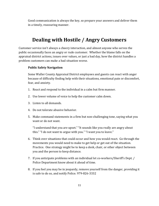Good communication is always the key, so prepare your answers and deliver them in a timely, reassuring manner.

### **Dealing with Hostile / Angry Customers**

Customer service isn't always a cheery interaction, and almost anyone who serves the public occasionally faces an angry or rude customer. Whether the blame falls on the appraisal district actions, issues over values, or just a bad day, how the district handles a problem customers can make a bad situation worse.

### **Public Safety Navigation**

Some Waller County Appraisal District employees and guests can react with anger because of difficulty finding help with their situations, emotional pain or discomfort, fear, and anxiety.

- 1. React and respond to the individual in a calm but firm manner.
- 2. Use lower volume of voice to help the customer calm down.
- 3. Listen to all demands.
- 4. Do not tolerate abusive behavior.
- 5. Make command statements in a firm but non-challenging tone, saying what you want or do not want.

"I understand that you are upset." "It sounds like you really are angry about this." "I do not want to argue with you." "I want you to leave."

- 6. Think over situations that could occur and how you would react. Go through the movements you would need to make to get help or get out of the situation. Practice. One strategy might be to keep a desk, chair, or other object between you and the person to keep distance.
- 7. If you anticipate problems with an individual let co-workers/Sheriff's Dept. / Police Department know about it ahead of time.
- 8. If you feel you may be in jeopardy, remove yourself from the danger, providing it is safe to do so, and notify Police. 979-826-3332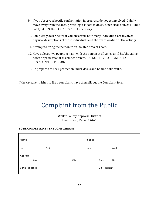- 9. If you observe a hostile confrontation in progress, do not get involved. Calmly move away from the area, providing it is safe to do so. Once clear of it, call Public Safety at 979-826-3332 or 9-1-1 if necessary.
- 10. Completely describe what you observed, how many individuals are involved, physical descriptions of those individuals and the exact location of the activity.
- 11. Attempt to bring the person to an isolated area or room.
- 12. Have at least two people remain with the person at all times until he/she calms down or professional assistance arrives. DO NOT TRY TO PHYSICALLY RESTRAIN THE PERSON.
- 13. Be prepared to seek protection under desks and behind solid walls.

If the taxpayer wishes to file a complaint, have them fill out the Complaint form.

# Complaint from the Public

Waller County Appraisal District Hempstead, Texas 77445

### **TO BE COMPLETED BY THE COMPLAINANT**

| Name:          |        |       |      | Phone: |             |      |
|----------------|--------|-------|------|--------|-------------|------|
| Last           |        | First |      | Home   |             | Work |
| Address        | Street |       | City |        | State       | Zip  |
| E-mail address |        |       |      |        | Cell Phone# |      |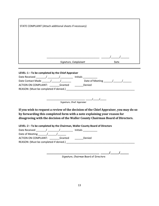| STATE COMPLAINT (Attach additional sheets if necessary) |      |
|---------------------------------------------------------|------|
|                                                         |      |
|                                                         |      |
|                                                         |      |
| Signature, Complainant                                  | Date |

|                                        | Initials            |
|----------------------------------------|---------------------|
| Date Contact Made /                    | Date of Meeting / / |
| ACTION ON COMPLAINT:<br>Granted        | Denied              |
| REASON: (Must be completed if denied.) |                     |

**\_\_\_\_\_\_\_\_\_\_\_\_\_\_\_\_\_\_\_\_\_\_\_\_\_\_\_\_\_\_\_\_\_\_\_\_\_ \_\_\_\_\_\_/\_\_\_\_\_\_/\_\_\_\_\_\_** Signature, Chief Appraiser

**If you wish to request a review of the decision of the Chief Appraiser, you may do so by forwarding this completed form with a note explaining your reason for disagreeing with the decision of the Waller County Chairman Board of Directors.**

**LEVEL: 2 – To be completed by the Chairman, Waller County Board of Directors**

| Date Received                          | <b>Initials</b> |  |  |  |
|----------------------------------------|-----------------|--|--|--|
| Date of Meeting /                      |                 |  |  |  |
| ACTION ON COMPLAINT:<br>Granted        | Denied          |  |  |  |
| REASON: (Must be completed if denied.) |                 |  |  |  |
|                                        |                 |  |  |  |

Signature, Chairman Board of Directors

**\_\_\_\_\_\_\_\_\_\_\_\_\_\_\_\_\_\_\_\_\_\_\_\_\_\_\_\_\_\_\_\_\_\_\_\_\_ \_\_\_\_\_\_/\_\_\_\_\_\_/\_\_\_\_\_\_**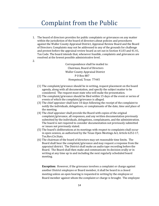# Complaint from the Public

1. The board of directors provides for public complaints or grievances on any matter within the jurisdiction of the board of directors about policies and procedures against the Waller County Appraisal District, Appraisal Review Board and the Board of Directors. Complaints may not be addressed to any of the grounds for challenge and protest before the appraisal review board as set out in Section 41.03 and 41.41, Tax Code. The board intends that, whenever feasible, complaints and grievances are resolved at the lowest possible administrative level.

2.

Correspondence shall be mailed to: Chairman, Board of Directors Waller County Appraisal District P O Box 887 Hempstead, Texas 77445

- (1) The complaint/grievance should be in writing, request placement on the board agenda, along with all documentation, and specify the subject matter to be considered. The request must state who will make the presentation.
- (2) The complaint/grievance should be filed within 15 days of the event or series of events of which the complaint/grievance is alleged.
- (3) The chief appraiser shall have 10 days following the receipt of the complaint to notify the individuals, delegations, or complainants of the date, time and place of the meeting.
- (4) The chief appraiser shall provide the Board with copies of the original complaint/grievance, all responses, and any written documentation previously submitted by the individuals, delegations, complainants, and the administration. The board is not required to consider documentation not previously submitted or issues not previously stated.
- (5) The board's deliberations at its meetings with respect to complaints shall occur in open session, as authorized by the Texas Open Meetings Act, Article 6252-17, Tex.Rev.Civ.Stats.
- (6) The chairman of the board of directors may set reasonable time limits. The Board shall hear the complaint/grievance and may request a response from the appraisal district. The District shall make an audio tape recording before the Board. The Board shall then make and communicate its decision orally or in writing at any time up to and including the next regularly scheduled board meeting.

**Exception:** However, if the grievance involves a complaint or charge against another District employee or Board member, it shall be heard in a closed meeting unless an open hearing is requested in writing by the employee or Board member against whom the complaint or charge is brought. The employee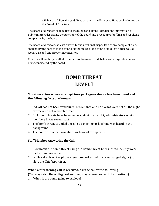will have to follow the guidelines set out in the Employee Handbook adopted by the Board of Directors.

The board of directors shall make to the public and taxing jurisdictions information of public interest describing the functions of the board and procedures for filing and resolving complaints by the board.

The board of directors, at least quarterly and until final disposition of any complaint filed, shall notify the parties to the complaint the status of the complaint unless notice would jeopardize and undercover investigation.

Citizens will not be permitted to enter into discussion or debate as other agenda items are being considered by the board.

# **BOMB THREAT LEVEL l**

### **Situation arises where no suspicious package or device has been found and the following facts are known:**

- 1. WCAD has not been vandalized, broken into and no alarms were set off the night or weekend of the bomb threat.
- 2. No known threats have been made against the district, administrators or staff members in the recent past.
- 3. The bomb threat sounded unrealistic, giggling or laughing was heard in the background.
- 4. The bomb threat call was short with no follow up calls.

### **Staff Member Answering the Call**

- 1. Document the bomb threat using the Bomb Threat Check List to identify voice, background noises, etc.
- 2. While caller is on the phone signal co-worker (with a pre-arranged signal) to alert the Chief Appraiser.

### **When a threatening call is received, ask the caller the following**

(You may catch them off-guard and they may answer some of the questions)

1. When is the bomb going to explode?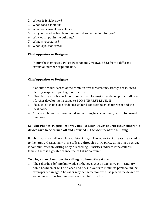- 2. Where is it right now?
- 3. What does it look like?
- 4. What will cause it to explode?
- 5. Did you place the bomb yourself or did someone do it for you?
- 6. Why was it put in the building?
- 7. What is your name?
- 8. What is your address?

### **Chief Appraiser or Designee**

1. Notify the Hempstead Police Department **979-826-3332** from a different extension number or phone line.

### **Chief Appraiser or Designee**

- 1. Conduct a visual search of the common areas; restrooms, storage areas, etc to identify suspicious packages or devices.
- 2. If bomb threat calls continue to come in or circumstances develop that indicates a further developing threat go to **BOMB THREAT LEVEL II**
- 3. If a suspicious package or device is found contact the chief appraiser and the local police.
- 4. After search has been conducted and nothing has been found, return to normal functions.

### **Cellular Phones, Pagers, Two Way Radios, Microwaves and/or other electronic devices are to be turned off and not used in the vicinity of the building.**

Bomb threats are delivered in a variety of ways. The majority of threats are called in to the target. Occasionally these calls are through a third party. Sometimes a threat is communicated in writing or by a recording. Statistics indicate if the caller is female, there is a greater chance the call **is not** a prank.

### **Two logical explanations for calling in a bomb threat are:**

1. The caller has definite knowledge or believes that an explosive or incendiary bomb has been or will be placed and he/she wants to minimize personal injury or property damage. The caller may be the person who has placed the device or someone who has become aware of such information.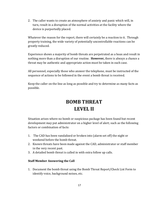2. The caller wants to create an atmosphere of anxiety and panic which will, in turn, result in a disruption of the normal activities at the facility where the device is purportedly placed.

Whatever the reason for the report, there will certainly be a reaction to it. Through property training, the wide variety of potentially uncontrollable reactions can be greatly reduced.

Experience shows a majority of bomb threats are perpetrated as a hoax and result in nothing more than a disruption of our routine. **However,** there is always a chance a threat may be authentic and appropriate action must be taken in each case.

All personnel, especially those who answer the telephone, must be instructed of the sequence of actions to be followed in the event a bomb threat is received.

Keep the caller on the line as long as possible and try to determine as many facts as possible.

# **BOMB THREAT LEVEL II**

Situation arises where no bomb or suspicious package has been found but recent development may put administrator on a higher level of alert; such as the following factors or combination of facts:

- 1. The CAD has been vandalized or broken into (alarm set off) the night or weekend before the bomb threat.
- 2. Known threats have been made against the CAD, administrator or staff member in the very recent past.
- 3. A detailed bomb threat is called in with extra follow up calls.

### **Staff Member Answering the Call**

1. Document the bomb threat using the Bomb Threat Report/Check List Form to identify voice, background noises, etc.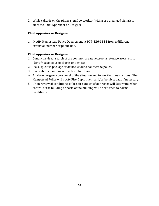2. While caller is on the phone signal co-worker (with a pre-arranged signal) to alert the Chief Appraiser or Designee.

### **Chief Appraiser or Designee**

1. Notify Hempstead Police Department at **979-826-3332** from a different extension number or phone line.

### **Chief Appraiser or Designee**

- 1. Conduct a visual search of the common areas; restrooms, storage areas, etc to identify suspicious packages or devices.
- 2. If a suspicious package or device is found contact the police.
- 3. Evacuate the building or Shelter In Place.
- 4. Advise emergency personnel of the situation and follow their instructions. The Hempstead Police will notify Fire Department and/or bomb squads if necessary.
- 5. Upon review of conditions, police, fire and chief appraiser will determine when control of the building or parts of the building will be returned to normal conditions.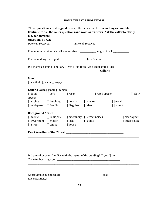### **BOMB THREAT REPORT FORM**

|                                     |                                           |                                               | These questions are designed to keep the caller on the line as long as possible.<br>Continue to ask the caller questions and wait for answers. Ask the caller to clarify |                 |                 |
|-------------------------------------|-------------------------------------------|-----------------------------------------------|--------------------------------------------------------------------------------------------------------------------------------------------------------------------------|-----------------|-----------------|
| his/her answers.                    |                                           |                                               |                                                                                                                                                                          |                 |                 |
| <b>Questions To Ask:</b>            |                                           |                                               |                                                                                                                                                                          |                 |                 |
|                                     |                                           |                                               | Date call received: _ __________________Time call received: ____________________                                                                                         |                 |                 |
|                                     |                                           |                                               | Phone number at which call was received: ________________Length of call: _____________                                                                                   |                 |                 |
|                                     |                                           |                                               |                                                                                                                                                                          |                 |                 |
|                                     |                                           |                                               | Did the voice sound Familiar? $\{ \}$ yes $\{ \}$ no If yes, who did it sound like:<br><u>Caller's</u>                                                                   |                 |                 |
| Mood<br>[] excited [] calm [] angry |                                           |                                               |                                                                                                                                                                          |                 |                 |
|                                     | <b>Caller's Voice</b> [ ] male [ ] female |                                               |                                                                                                                                                                          |                 |                 |
|                                     | [] loud [] soft [] raspy                  |                                               |                                                                                                                                                                          | [] rapid speech | [] slow         |
| speech                              |                                           |                                               |                                                                                                                                                                          |                 |                 |
|                                     |                                           |                                               | [] crying [] laughing [] normal [] slurred                                                                                                                               | $\lceil$ nasal  |                 |
|                                     |                                           | [] whispered [] familiar [] disguised [] deep |                                                                                                                                                                          | [] accent       |                 |
| <b>Background Noises</b>            |                                           |                                               |                                                                                                                                                                          |                 |                 |
|                                     |                                           |                                               | [] music [] radio/TV [] machinery [] street noises                                                                                                                       |                 | [] clear/quiet  |
|                                     |                                           | [] PA system [] motor [] local [] static      |                                                                                                                                                                          |                 | [] other voices |
|                                     | [] street [] animal [] house              |                                               |                                                                                                                                                                          |                 |                 |
|                                     |                                           |                                               |                                                                                                                                                                          |                 |                 |
|                                     |                                           |                                               |                                                                                                                                                                          |                 |                 |
|                                     |                                           |                                               | Did the caller seem familiar with the layout of the building? [ ] yes [ ] no                                                                                             |                 |                 |
|                                     |                                           |                                               |                                                                                                                                                                          |                 |                 |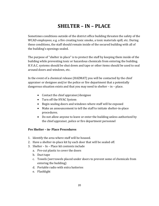### **SHELTER – IN – PLACE**

Sometimes conditions outside of the district office building threaten the safety of the WCAD employees; e.g. a fire creating toxic smoke, a toxic materials spill, etc. During these conditions, the staff should remain inside of the secured building with all of the building's openings sealed.

The purpose of "shelter in place" is to protect the staff by keeping them inside of the building while preventing toxic or hazardous chemicals from entering the building. H.V.A.C. systems should be shut down and tape or other items should be used to seal around doors and windows, etc.

In the event of a chemical release (HAZMAT) you will be contacted by the chief appraiser or designee and/or the police or fire department that a potentially dangerous situation exists and that you may need to shelter – in – place.

- Contact the chief appraiser/designee
- Turn off the HVAC System
- Begin sealing doors and windows where staff will be exposed
- Make an announcement to tell the staff to initiate shelter-in-place procedures.
- Do not allow anyone to leave or enter the building unless authorized by the chief appraiser, police or fire department personnel

### **Pre Shelter – in- Place Procedures**

- 1. Identify the area where staff will be housed.
- 2. Have a shelter-in-place kit by each door that will be sealed off.
- 3. Shelter In Place kit contents include
	- a. Pre-cut plastic to cover the doors
	- b. Duct tape
	- c. Towels (wet towels placed under doors to prevent some of chemicals from entering the building)
	- d. Portable radio with extra batteries
	- e. Flashlight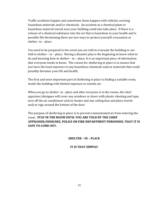Traffic accidents happen and sometimes these happen with vehicles carrying hazardous materials and/or chemicals. An accident at a chemical plant or hazardous material stored near your building could also take place. If there is a release of a chemical substance into the air that is hazardous to your health and is possible life threatening there are two ways to protect yourself: evacuation or shelter- in – place

You need to be prepared in the event you are told to evacuate the building or are told to shelter – in – place. Having a disaster plan is the beginning to know what to do and knowing how to shelter – in – place. It is an important piece of information that everyone needs to know. The reason for sheltering in place is to ensure that you have the least exposure to any hazardous chemicals and/or materials that could possibly threaten your life and health.

The first and most important part of sheltering in place is finding a suitable room, inside the building with limited exposure to outside air.

When you go to shelter- in - place and after everyone is in the rooms, the chief appraiser/designee will cover any windows or doors with plastic sheeting and tape, turn off the air conditioner and/or heater and any ceiling fans and place towels and/or rags around the bottom of the door.

The purpose of sheltering in place is to prevent contaminated air from entering the room. **STAY IN THE ROOM UNTIL YOU ARE TOLD BY THE CHIEF APPRAISER/DESIGNEE, POLICE OR FIRE DEPARTMENT PERSONNEL THAT IT IS SAFE TO COME OUT.**

### **SHELTER – IN – PLACE**

### **IT IS THAT SIMPLE!**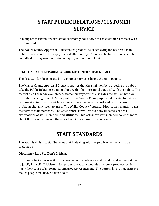# **STAFF PUBLIC RELATIONS/CUSTOMER SERVICE**

In many areas customer satisfaction ultimately boils down to the customer's contact with frontline staff.

The Waller County Appraisal District takes great pride in achieving the best results in public relations with the taxpayers in Waller County. There will be times, however, when an individual may need to make an inquiry or file a complaint.

### **SELECTING AND PREPARING A GOOD CUSTOMER SERVICE STAFF**

The first step for focusing staff on customer service is hiring the right people.

The Waller County Appraisal District requires that the staff members greeting the public take the Public Relations Seminar along with other personnel that deal with the public. The district also has made available, customer surveys, which also rates the staff on how well the public is being treated. Surveys allow the Waller County Appraisal District to quickly capture vital information with relatively little expense and effort and confront any problems that may seem to arise. The Waller County Appraisal District on a monthly basis meets with staff members. The Chief Appraiser will go over any updates, changes, expectations of staff members, and attitudes. This will allow staff members to learn more about the organization and the work from interaction with coworkers.

### **STAFF STANDARDS**

The appraisal district staff believes that in dealing with the public effectively is to be diplomatic.

### **Diplomacy Rule #1: Don't Criticize**

Criticism is futile because it puts a person on the defensive and usually makes them strive to justify himself. Criticism is dangerous, because it wounds a person's precious pride, hurts their sense of importance, and arouses resentment. The bottom line is that criticism makes people feel bad. So don't do it!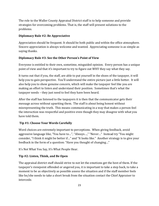The role to the Waller County Appraisal District staff is to help someone and provide strategies for overcoming problems. That is, the staff will present solutions to the problems.

### **Diplomacy Rule #2: Be Appreciative**

Appreciation should be frequent. It should be both public and within the office atmosphere. Sincere appreciation is always welcome and wanted. Appreciating someone is as simple as saying thanks.

### **Diplomacy Rule #3: See the Other Person's Point of View**

Everyone is entitled to their own, sometime, misguided opinion. Every person has a unique point of view and that it's important to try to figure out WHY they say what they say.

It turns out that if you, the staff, are able to put yourself in the shoes of the taxpayer, it will help you to gain perspective. You'll understand the entire picture just a little better. It will also help you to show genuine concern, which will make the taxpayer feel like you are making an effort to listen and understand their position. Sometimes that's what the taxpayer needs – they just need to feel they have been heard.

After the staff has listened to the taxpayers it is then that the communicator gets their message across without upsetting them. The staff is about being honest without misrepresenting the truth. This means communicating in a way that makes a person feel the interaction was respectful and positive even though they may disagree with what you have told them.

### **Tip #1: Choose Your Words Carefully**

Word choices are extremely important to perceptions. When giving feedback, avoid aggressive language like, "You have to…", "Always…," "Never…" Instead try "You might consider, "I think it might be better if…" and "It looks like." Another strategy is to give your feedback in the form of a question: "Have you thought of changing…"

It's Not What You Say, It's What People Hear.

### **Tip #2: Listen, Think, and Be Open**

The appraisal district staff should strive to not let the emotions get the best of them. If the taxpayer's viewpoint offended or angered you, it is important to take a step back, to take a moment to be as objectively as possible assess the situation and if the staff member feels like he/she needs to take a short break from the situation contact the Chief Appraiser to intercede.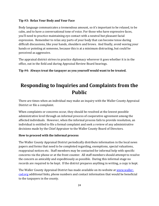### **Tip #3: Relax Your Body and Your Face**

Body language communicates a tremendous amount, so it's important to be relaxed, to be calm, and to have a conversational tone of voice. For those who have expressive faces, you'll need to practice maintaining eye contact with a neutral but pleasant facial expression. Remember to relax any parts of your body that can become tense during difficult discussions, like your hands, shoulders and brows. And finally, avoid waving your hands or pointing at someone, because this is at a minimum distracting, but could be perceived as aggressive.

The appraisal district strives to practice diplomacy wherever it goes whether it is in the office, out in the field and during Appraisal Review Board hearings.

### **Tip #4: Always treat the taxpayer as you yourself would want to be treated.**

# **Responding to Inquiries and Complaints from the Public**

There are times when an individual may make an inquiry with the Waller County Appraisal District or file a complaint.

When complaints or concerns occur, they should be resolved at the lowest possible administrative level through an informal process of cooperative agreement among the affected individuals. However, when the informal process fails to provide resolution, an individual is entitled to file a formal complaint and seek a review of any administrative decisions made by the Chief Appraiser to the Waller County Board of Directors.

### **How to proceed with the informal process**

The Waller County Appraisal District periodically distribute information in the local news papers and forms that need to be completed regarding, exemptions, special valuations, reappraisal notices etc. Staff members may be contacted for informal help with specific concerns via the phone or at the front counter. All staff members should attempt to resolve the concern as amicably and expeditiously as possible. During this informal stage no records are required to be kept. If the district prepares anything in writing, a copy is kept.

The Waller County Appraisal District has made available on its website at [www.waller](http://www.waller-cad.org/)[cad.org](http://www.waller-cad.org/) additional links, phone numbers and contact information that would be beneficial to the taxpayers in the county.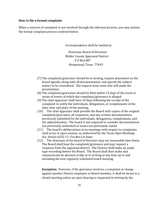#### **How to file a formal complaint**

When a concern of complaint is not resolved through the informal process, you may initiate the formal complaint process outlined below.

Correspondence shall be mailed to:

 Chairman, Board of Directors Waller County Appraisal District P O Box 887 Hempstead, Texas 77445

- (7) The complaint/grievance should be in writing, request placement on the board agenda, along with all documentation, and specify the subject matter to be considered. The request must state who will make the presentation.
- (8) The complaint/grievance should be filed within 15 days of the event or series of events of which the complaint/grievance is alleged.
- (9) The chief appraiser shall have 10 days following the receipt of the complaint to notify the individuals, delegations, or complainants of the date, time and place of the meeting.
- (10) The chief appraiser shall provide the Board with copies of the original complaint/grievance, all responses, and any written documentation previously submitted by the individuals, delegations, complainants, and the administration. The board is not required to consider documentation not previously submitted or issues not previously stated.
- (11) The board's deliberations at its meetings with respect to complaints shall occur in open session, as authorized by the Texas Open Meetings Act, Article 6252-17, Tex.Rev.Civ.Stats.
- (12) The chairman of the board of directors may set reasonable time limits. The Board shall hear the complaint/grievance and may request a response from the appraisal district. The District shall make an audio tape recording before the Board. The Board shall then make and communicate its decision orally or in writing at any time up to and including the next regularly scheduled board meeting.

**Exception:** However, if the grievance involves a complaint or charge against another District employee or Board member, it shall be heard in a closed meeting unless an open hearing is requested in writing by the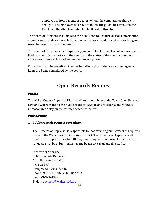employee or Board member against whom the complaint or charge is brought. The employee will have to follow the guidelines set out in the Employee Handbook adopted by the Board of Directors.

The board of directors shall make to the public and taxing jurisdictions information of public interest describing the functions of the board and procedures for filing and resolving complaints by the board.

The board of directors, at least quarterly and until final disposition of any complaint filed, shall notify the parties to the complaint the status of the complaint unless notice would jeopardize and undercover investigation.

Citizens will not be permitted to enter into discussion or debate as other agenda items are being considered by the board.

### **Open Records Request**

### **POLICY**

The Waller County Appraisal District will fully comply with the Texas Open Records Law and will respond to the public requests as soon as practicable and without unreasonable delay, in the manner described below.

### **PROCEDURES**

#### **1. Public records request procedure.**

The Director of Appraisal is responsible for coordinating public records requests made to the Waller County Appraisal District. The Director of Appraisal and other staff as appropriate in fulfilling timely requests. All formal public records requests must be submitted in writing by fax or e-mail and directed to:

Director of Appraisal Public Records Request Attn: Doyleen Fairchild P O Box 887 Hempstead, Texas 77445 Phone: 979-921-0060 extension 403 Fax: 979-921-0377 E-Mail: [doyleenf@waller-cad.org](mailto:doyleenf@waller-cad.org)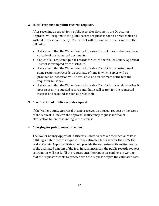### **2. Initial response to public records requests.**

After receiving a request for a public record or document, the Director of Appraisal will respond to the public records request as soon as practicable and without unreasonable delay. The district will respond with one or more of the following.

- A statement that the Waller County Appraisal District does or does not have custody of the requested documents.
- Copies of all requested public records for which the Waller County Appraisal District is exempted from disclosure.
- A statement that the Waller County Appraisal District is the custodian of some responsive records, an estimate of time in which copies will be provided or inspection will be available, and an estimate of the fees the requestor must pay.
- A statement that the Waller County Appraisal District is uncertain whether it possesses any requested records and that it will search for the requested records and respond as soon as practicable.

### **3. Clarification of public records request.**

If the Waller County Appraisal District receives an unusual request or the scope of the request is unclear, the appraisal district may request additional clarification before responding to the request.

### **4. Charging for public records request.**

The Waller County Appraisal District is allowed to recover their actual costs in fulfilling a public records request. If the estimated fee is greater than \$25, the Waller County Appraisal District will provide the requestor with written notice of the estimated amount of the fee. In such instances, the public records request coordinator will not fulfill the request until the requestor confirms in writing that the requestor wants to proceed with the request despite the estimated cost.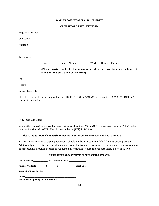### **WALLER COUNTY APPRAISAL DISTRICT**

### **OPEN RECORDS REQUEST FORM**

| Company:                               |                                                                                                                                                                                                                                                                                                                              |
|----------------------------------------|------------------------------------------------------------------------------------------------------------------------------------------------------------------------------------------------------------------------------------------------------------------------------------------------------------------------------|
| Address:                               | <u> 1989 - Johann Barn, mars ann an t-Amhair an t-Amhair ann an t-Amhair an t-Amhair an t-Amhair an t-Amhair an t-</u>                                                                                                                                                                                                       |
|                                        | the control of the control of the control of the control of the control of the control of                                                                                                                                                                                                                                    |
| Telephone:                             |                                                                                                                                                                                                                                                                                                                              |
|                                        | __Home __Mobile __________Work __Home __Mobile<br>__Work                                                                                                                                                                                                                                                                     |
|                                        | (Please provide the best telephone number(s) to reach you between the hours of<br>8:00 a.m. and 5:00 p.m. Central Time)                                                                                                                                                                                                      |
| Fax:                                   |                                                                                                                                                                                                                                                                                                                              |
| E-Mail:                                |                                                                                                                                                                                                                                                                                                                              |
| Date of Request:                       |                                                                                                                                                                                                                                                                                                                              |
| CODE Chapter 552:                      | I hereby request the following under the PUBLIC INFORMATION ACT pursuant to TEXAS GOVERNMENT                                                                                                                                                                                                                                 |
|                                        |                                                                                                                                                                                                                                                                                                                              |
|                                        | Submit this request to the Waller County Appraisal District P O Box 887, Hempstead, Texas, 77445. The fax<br>number is (979) 921-0377. The phone number is (979) 921-0060.                                                                                                                                                   |
|                                        | ---Please let us know if you wish to receive your response in a special format or media. ---                                                                                                                                                                                                                                 |
|                                        | NOTE: This form may be copied; however it should not be altered or modified from its existing content.<br>Additionally, certain items requested may be exempted from disclosure under the law and certain costs may<br>be assessed for providing copies of requested information. Please refer to rate schedule on page two. |
|                                        | THIS SECTION TO BE COMPLETED BY AUTHORIZED PERSONNEL                                                                                                                                                                                                                                                                         |
|                                        |                                                                                                                                                                                                                                                                                                                              |
| Records Available _______ Yes _____ No | (Check One)                                                                                                                                                                                                                                                                                                                  |
|                                        |                                                                                                                                                                                                                                                                                                                              |
|                                        |                                                                                                                                                                                                                                                                                                                              |